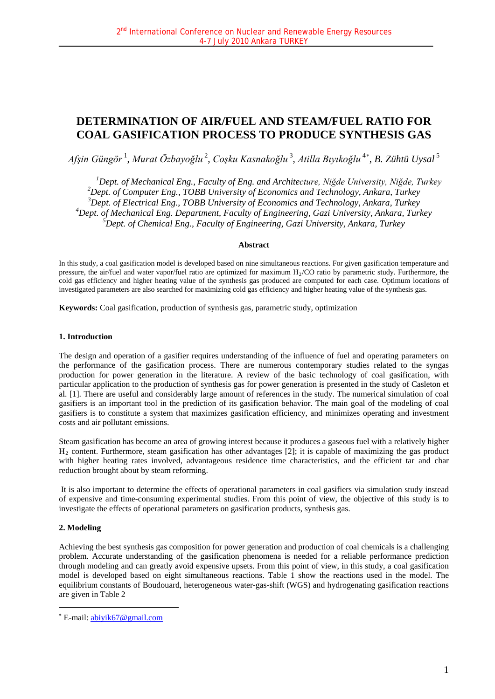# **DETERMINATION OF AIR/FUEL AND STEAM/FUEL RATIO FOR COAL GASIFICATION PROCESS TO PRODUCE SYNTHESIS GAS**

*Afşin Güngör* <sup>1</sup> , *Murat Özbayoğlu* <sup>2</sup> , *Coşku Kasnakoğlu* <sup>3</sup> , *Atilla Bıyıkoğlu* <sup>4</sup>[∗](#page-0-0) , *B. Zühtü Uysal* <sup>5</sup>

 *Dept. of Mechanical Eng., Faculty of Eng. and Architecture, Niğde University, Niğde, Turkey Dept. of Computer Eng., TOBB University of Economics and Technology, Ankara, Turkey Dept. of Electrical Eng., TOBB University of Economics and Technology, Ankara, Turkey Dept. of Mechanical Eng. Department, Faculty of Engineering, Gazi University, Ankara, Turkey Dept. of Chemical Eng., Faculty of Engineering, Gazi University, Ankara, Turkey*

## **Abstract**

In this study, a coal gasification model is developed based on nine simultaneous reactions. For given gasification temperature and pressure, the air/fuel and water vapor/fuel ratio are optimized for maximum  $H<sub>2</sub>/CO$  ratio by parametric study. Furthermore, the cold gas efficiency and higher heating value of the synthesis gas produced are computed for each case. Optimum locations of investigated parameters are also searched for maximizing cold gas efficiency and higher heating value of the synthesis gas.

**Keywords:** Coal gasification, production of synthesis gas, parametric study, optimization

## **1. Introduction**

The design and operation of a gasifier requires understanding of the influence of fuel and operating parameters on the performance of the gasification process. There are numerous contemporary studies related to the syngas production for power generation in the literature. A review of the basic technology of coal gasification, with particular application to the production of synthesis gas for power generation is presented in the study of Casleton et al. [1]. There are useful and considerably large amount of references in the study. The numerical simulation of coal gasifiers is an important tool in the prediction of its gasification behavior. The main goal of the modeling of coal gasifiers is to constitute a system that maximizes gasification efficiency, and minimizes operating and investment costs and air pollutant emissions.

Steam gasification has become an area of growing interest because it produces a gaseous fuel with a relatively higher  $H_2$  content. Furthermore, steam gasification has other advantages [2]; it is capable of maximizing the gas product with higher heating rates involved, advantageous residence time characteristics, and the efficient tar and char reduction brought about by steam reforming.

It is also important to determine the effects of operational parameters in coal gasifiers via simulation study instead of expensive and time-consuming experimental studies. From this point of view, the objective of this study is to investigate the effects of operational parameters on gasification products, synthesis gas.

# **2. Modeling**

<u>.</u>

Achieving the best synthesis gas composition for power generation and production of coal chemicals is a challenging problem. Accurate understanding of the gasification phenomena is needed for a reliable performance prediction through modeling and can greatly avoid expensive upsets. From this point of view, in this study, a coal gasification model is developed based on eight simultaneous reactions. Table 1 show the reactions used in the model. The equilibrium constants of Boudouard, heterogeneous water-gas-shift (WGS) and hydrogenating gasification reactions are given in Table 2

<span id="page-0-0"></span><sup>∗</sup> E-mail: [abiyik67@gmail.com](mailto:abiyik67@gmail.com)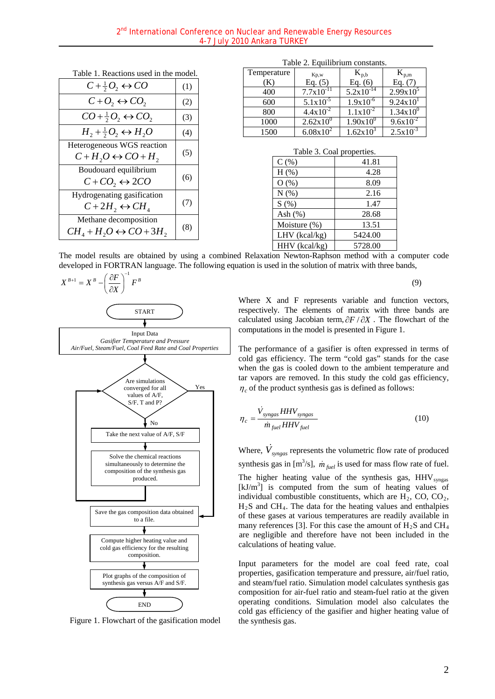| Table 1. Reactions used in the model.                         |     |
|---------------------------------------------------------------|-----|
| $C + \frac{1}{2}O_2 \leftrightarrow CO$                       | (1) |
| $C+O_2 \leftrightarrow CO_2$                                  | (2) |
| $CO + \frac{1}{2}O_2 \leftrightarrow CO_2$                    | (3) |
| $H_1 + \frac{1}{2}O_2 \leftrightarrow H_2O$                   | (4) |
| Heterogeneous WGS reaction<br>$C+H_2O \leftrightarrow CO+H_2$ | (5) |
| Boudouard equilibrium<br>$C+CO$ , $\leftrightarrow$ 2CO       | (6) |
| Hydrogenating gasification<br>$C+2H_2 \leftrightarrow CH_4$   | (7) |
| Methane decomposition<br>$CH4 + H2O \leftrightarrow CO + 3H2$ | (8) |

| Table 2. Equilibrium constants. |  |
|---------------------------------|--|
|---------------------------------|--|

| Temperature | Kp,w                 | $K_{p,b}$                | $K_{p,m}$     |
|-------------|----------------------|--------------------------|---------------|
| K)          | Eq. $(5)$            | Eq. $(6)$                | Eq. $(7)$     |
| 400         | $7.7x10^{-11}$       | $5.2x\overline{10}^{14}$ | $2.99x10^5$   |
| 600         | $5.1x10^{-5}$        | $1.9x10^{-6}$            | 9.24x10       |
| 800         | $4.4x10^{-2}$        | $1.1x10^{-2}$            | $1.34x10^{0}$ |
| 1000        | $2.62 \times 10^{0}$ | $1.90x10^{0}$            | $9.6x10^{-2}$ |
| 1500        | $6.08x10^{2}$        | $1.62x10^{3}$            | $2.5x10^{-3}$ |

| Table 3. Coal properties. |         |  |  |
|---------------------------|---------|--|--|
| $C$ (%)                   | 41.81   |  |  |
| $H$ (%)                   | 4.28    |  |  |
| $O($ % $)$                | 8.09    |  |  |
| N(%)                      | 2.16    |  |  |
| S(%)                      | 1.47    |  |  |
| Ash $(\%)$                | 28.68   |  |  |
| Moisture (%)              | 13.51   |  |  |
| $LHV$ (kcal/kg)           | 5424.00 |  |  |
| $HHV$ (kcal/kg)           | 5728.00 |  |  |

The model results are obtained by using a combined Relaxation Newton-Raphson method with a computer code developed in FORTRAN language. The following equation is used in the solution of matrix with three bands,



Figure 1. Flowchart of the gasification model

Where X and F represents variable and function vectors, respectively. The elements of matrix with three bands are calculated using Jacobian term, ∂*F* / ∂*X* . The flowchart of the computations in the model is presented in Figure 1.

The performance of a gasifier is often expressed in terms of cold gas efficiency. The term "cold gas" stands for the case when the gas is cooled down to the ambient temperature and tar vapors are removed. In this study the cold gas efficiency,  $\eta_c$  of the product synthesis gas is defined as follows:

$$
\eta_c = \frac{\dot{V}_{syngas} HHV_{syngas}}{\dot{m}_{fuel} HHV_{fuel}}
$$
\n(10)

Where,  $\dot{V}_{syngas}$  represents the volumetric flow rate of produced synthesis gas in  $[m^3/s]$ ,  $\dot{m}_{\text{fuel}}$  is used for mass flow rate of fuel. The higher heating value of the synthesis gas, HHV<sub>syngas</sub>  $[kJ/m<sup>3</sup>]$  is computed from the sum of heating values of individual combustible constituents, which are  $H_2$ , CO, CO<sub>2</sub>,  $H<sub>2</sub>S$  and CH<sub>4</sub>. The data for the heating values and enthalpies of these gases at various temperatures are readily available in many references [3]. For this case the amount of  $H_2S$  and  $CH_4$ are negligible and therefore have not been included in the calculations of heating value.

Input parameters for the model are coal feed rate, coal properties, gasification temperature and pressure, air/fuel ratio, and steam/fuel ratio. Simulation model calculates synthesis gas composition for air-fuel ratio and steam-fuel ratio at the given operating conditions. Simulation model also calculates the cold gas efficiency of the gasifier and higher heating value of the synthesis gas.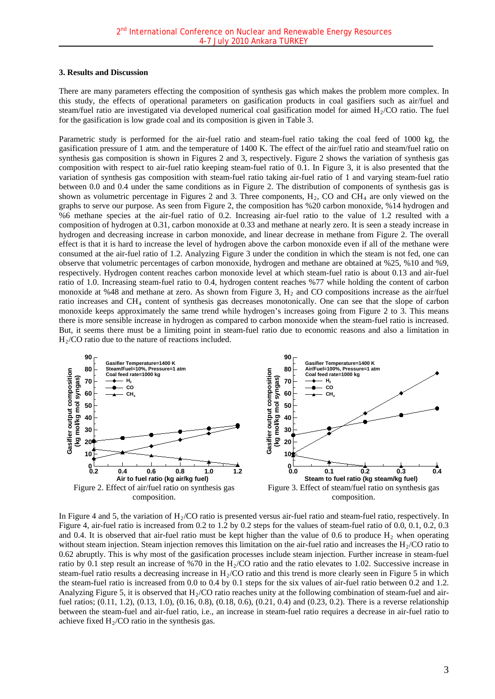#### **3. Results and Discussion**

There are many parameters effecting the composition of synthesis gas which makes the problem more complex. In this study, the effects of operational parameters on gasification products in coal gasifiers such as air/fuel and steam/fuel ratio are investigated via developed numerical coal gasification model for aimed  $H<sub>2</sub>/CO$  ratio. The fuel for the gasification is low grade coal and its composition is given in Table 3.

Parametric study is performed for the air-fuel ratio and steam-fuel ratio taking the coal feed of 1000 kg, the gasification pressure of 1 atm. and the temperature of 1400 K. The effect of the air/fuel ratio and steam/fuel ratio on synthesis gas composition is shown in Figures 2 and 3, respectively. Figure 2 shows the variation of synthesis gas composition with respect to air-fuel ratio keeping steam-fuel ratio of 0.1. In Figure 3, it is also presented that the variation of synthesis gas composition with steam-fuel ratio taking air-fuel ratio of 1 and varying steam-fuel ratio between 0.0 and 0.4 under the same conditions as in Figure 2. The distribution of components of synthesis gas is shown as volumetric percentage in Figures 2 and 3. Three components,  $H_2$ , CO and CH<sub>4</sub> are only viewed on the graphs to serve our purpose. As seen from Figure 2, the composition has %20 carbon monoxide, %14 hydrogen and %6 methane species at the air-fuel ratio of 0.2. Increasing air-fuel ratio to the value of 1.2 resulted with a composition of hydrogen at 0.31, carbon monoxide at 0.33 and methane at nearly zero. It is seen a steady increase in hydrogen and decreasing increase in carbon monoxide, and linear decrease in methane from Figure 2. The overall effect is that it is hard to increase the level of hydrogen above the carbon monoxide even if all of the methane were consumed at the air-fuel ratio of 1.2. Analyzing Figure 3 under the condition in which the steam is not fed, one can observe that volumetric percentages of carbon monoxide, hydrogen and methane are obtained at %25, %10 and %9, respectively. Hydrogen content reaches carbon monoxide level at which steam-fuel ratio is about 0.13 and air-fuel ratio of 1.0. Increasing steam-fuel ratio to 0.4, hydrogen content reaches %77 while holding the content of carbon monoxide at %48 and methane at zero. As shown from Figure 3, H<sub>2</sub> and CO compositions increase as the air/fuel ratio increases and CH4 content of synthesis gas decreases monotonically. One can see that the slope of carbon monoxide keeps approximately the same trend while hydrogen's increases going from Figure 2 to 3. This means there is more sensible increase in hydrogen as compared to carbon monoxide when the steam-fuel ratio is increased. But, it seems there must be a limiting point in steam-fuel ratio due to economic reasons and also a limitation in H2/CO ratio due to the nature of reactions included.



In Figure 4 and 5, the variation of  $H_2/CO$  ratio is presented versus air-fuel ratio and steam-fuel ratio, respectively. In Figure 4, air-fuel ratio is increased from 0.2 to 1.2 by 0.2 steps for the values of steam-fuel ratio of 0.0, 0.1, 0.2, 0.3 and 0.4. It is observed that air-fuel ratio must be kept higher than the value of 0.6 to produce  $H_2$  when operating without steam injection. Steam injection removes this limitation on the air-fuel ratio and increases the  $H<sub>2</sub>/CO$  ratio to 0.62 abruptly. This is why most of the gasification processes include steam injection. Further increase in steam-fuel ratio by 0.1 step result an increase of %70 in the  $H<sub>2</sub>/CO$  ratio and the ratio elevates to 1.02. Successive increase in steam-fuel ratio results a decreasing increase in  $H<sub>2</sub>/CO$  ratio and this trend is more clearly seen in Figure 5 in which the steam-fuel ratio is increased from 0.0 to 0.4 by 0.1 steps for the six values of air-fuel ratio between 0.2 and 1.2. Analyzing Figure 5, it is observed that  $H_2/CO$  ratio reaches unity at the following combination of steam-fuel and airfuel ratios; (0.11, 1.2), (0.13, 1.0), (0.16, 0.8), (0.18, 0.6), (0.21, 0.4) and (0.23, 0.2). There is a reverse relationship between the steam-fuel and air-fuel ratio, i.e., an increase in steam-fuel ratio requires a decrease in air-fuel ratio to achieve fixed  $H_2$ /CO ratio in the synthesis gas.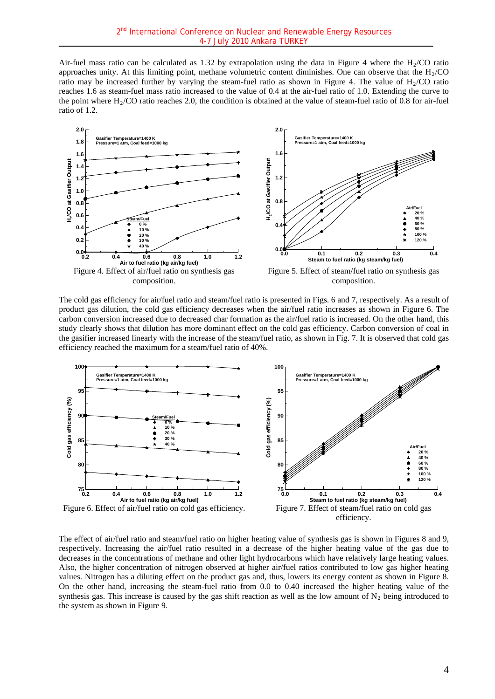Air-fuel mass ratio can be calculated as 1.32 by extrapolation using the data in Figure 4 where the  $H<sub>2</sub>/CO$  ratio approaches unity. At this limiting point, methane volumetric content diminishes. One can observe that the  $H<sub>2</sub>/CO$ ratio may be increased further by varying the steam-fuel ratio as shown in Figure 4. The value of  $H<sub>2</sub>/CO$  ratio reaches 1.6 as steam-fuel mass ratio increased to the value of 0.4 at the air-fuel ratio of 1.0. Extending the curve to the point where  $H<sub>2</sub>/CO$  ratio reaches 2.0, the condition is obtained at the value of steam-fuel ratio of 0.8 for air-fuel ratio of 1.2.



The cold gas efficiency for air/fuel ratio and steam/fuel ratio is presented in Figs. 6 and 7, respectively. As a result of product gas dilution, the cold gas efficiency decreases when the air/fuel ratio increases as shown in Figure 6. The carbon conversion increased due to decreased char formation as the air/fuel ratio is increased. On the other hand, this study clearly shows that dilution has more dominant effect on the cold gas efficiency. Carbon conversion of coal in the gasifier increased linearly with the increase of the steam/fuel ratio, as shown in Fig. 7. It is observed that cold gas efficiency reached the maximum for a steam/fuel ratio of 40%.



The effect of air/fuel ratio and steam/fuel ratio on higher heating value of synthesis gas is shown in Figures 8 and 9, respectively. Increasing the air/fuel ratio resulted in a decrease of the higher heating value of the gas due to decreases in the concentrations of methane and other light hydrocarbons which have relatively large heating values. Also, the higher concentration of nitrogen observed at higher air/fuel ratios contributed to low gas higher heating values. Nitrogen has a diluting effect on the product gas and, thus, lowers its energy content as shown in Figure 8. On the other hand, increasing the steam-fuel ratio from 0.0 to 0.40 increased the higher heating value of the synthesis gas. This increase is caused by the gas shift reaction as well as the low amount of  $N_2$  being introduced to the system as shown in Figure 9.